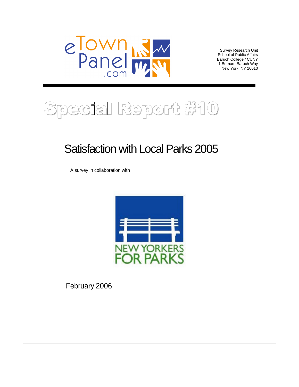

Survey Research Unit<br>School of Public Affairs School of Public Affairs Baruch College / CUNY 1 Bernard Baruch Way New York, NY 10010

### ial Report #10  $\bigcirc$  $\widehat{C}$  $\circledcirc$

# Satisfaction with Local Parks 2005

A survey in collaboration with



February 2006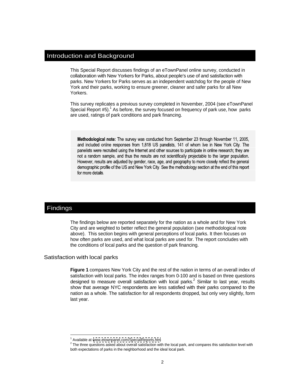### Introduction and Background

This Special Report discusses findings of an eTownPanel online survey, conducted in collaboration with New Yorkers for Parks, about people's use of and satisfaction with parks. New Yorkers for Parks serves as an independent watchdog for the people of New York and their parks, working to ensure greener, cleaner and safer parks for all New Yorkers.

This survey replicates a previous survey completed in November, 2004 (see eTownPanel Special Report  $#5$ ).<sup>1</sup> As before, the survey focused on frequency of park use, how parks are used, ratings of park conditions and park financing.

Methodological note: The survey was conducted from September 23 through November 11, 2005, and included online responses from 1,818 US panelists, 141 of whom live in New York City. The panelists were recruited using the Internet and other sources to participate in online research; they are not a random sample, and thus the results are not scientifically projectable to the larger population. However, results are adjusted by gender, race, age, and geography to more closely reflect the general demographic profile of the US and New York City. See the methodology section at the end of this report for more details.

# Findings

The findings below are reported separately for the nation as a whole and for New York City and are weighted to better reflect the general population (see methodological note above). This section begins with general perceptions of local parks. It then focuses on how often parks are used, and what local parks are used for. The report concludes with the conditions of local parks and the question of park financing.

### Satisfaction with local parks

**Figure 1** compares New York City and the rest of the nation in terms of an overall index of satisfaction with local parks. The index ranges from 0-100 and is based on three questions designed to measure overall satisfaction with local parks.<sup>2</sup> Similar to last year, results show that average NYC respondents are less satisfied with their parks compared to the nation as a whole. The satisfaction for all respondents dropped, but only very slightly, form last year.

 $\frac{1}{2}$  Available of usual of purposed com/Special Penerte bim Available at [www.etownpanel.com/SpecialReports.htm](http://www.etownpanel.com/SpecialReports.htm)

 $^2$  The three questions asked about overall satisfaction with the local park, and compares this satisfaction level with both expectations of parks in the neighborhood and the ideal local park.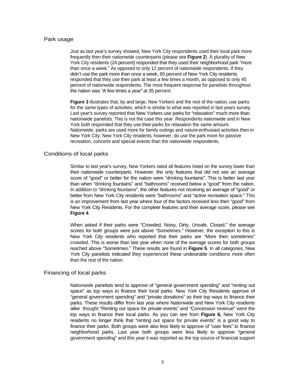### Park usage **Exercise Contract and Security Contract and Security Contract and Security Contract and Security Contract and Security Contract and Security Contract and Security Contract and Security Contract and Security Con**

Just as last year's survey showed, New York City respondents used their local park more frequently then their nationwide counterparts (please see **Figure 2**). A plurality of New York City residents (24 percent) responded that they used their neighborhood park "more than once a week." As opposed to only 12 percent of nationwide respondents. If they didn't use the park more than once a week, 65 percent of New York City residents responded that they use their park at least a few times a month, as opposed to only 45 percent of nationwide respondents. The most frequent response for panelists throughout the nation was "A few times a year" at 35 percent.

**Figure 3** illustrates that, by and large, New Yorkers and the rest of the nation, use parks for the same types of activities, which is similar to what was reported in last years survey. Last year's survey reported that New Yorkers use parks for "relaxation" much more than nationwide panelists. This is not the case this year. Respondents nationwide and in New York both responded that they use their parks for relaxation the same amount. Nationwide, parks are used more for family outings and nature-enthusiast activities then in New York City. New York City residents, however, do use the park more for passive recreation, concerts and special events than the nationwide respondents. Conditions of local parks

Similar to last year's survey, New Yorkers rated all features listed on the survey lower than their nationwide counterparts. However, the only features that did not see an average score of "aood" or better for the nation were "drinking fountains". This is better last year than when "drinking fountains" and "bathrooms" received below a "good" from the nation. In addition to "drinking fountains", the other features not receiving an average of "good" or better from New York City residents were "bathrooms" and "active recreation space." This is an improvement from last year where four of the factors received less then "good" from New York City Residents. For the complete features and their average score, please see **Figure 4**.

When asked if their parks were "Crowded, Noisy, Dirty, Unsafe, Closed," the average scores for both groups were just above "Sometimes." However, the exception to this is New York City residents who reported that their parks are "More then sometimes" crowded. This is worse than last year when none of the average scores for both groups reached above "Sometimes." These results are found in Figure 5. In all categories, New York City panelists indicated they experienced these undesirable conditions more often than the rest of the nation.

### Financing of local parks

Nationwide panelists tend to approve of "general government spending" and "renting out space" as top ways to finance their local parks. New York City Residents approve of "general government spending" and "private donations" as their top ways to finance their parks. These results differ from last year where Nationwide and New York City residents alike thought "Renting out space for private events" and "Concession revenue" were the top ways to finance their local parks. As you can see from **Figure 6,** New York City residents no longer think that "renting out space for private events" is a good way to finance their parks. Both groups were also less likely to approve of "user fees" to finance neighborhood parks. Last year both groups were less likely to approve "general government spending" and this year it was reported as the top source of financial support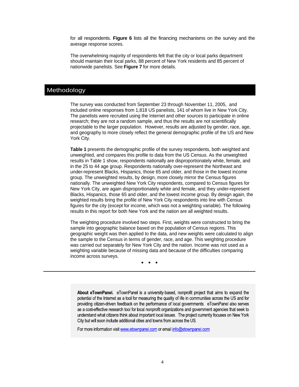for all respondents. **Figure 6** lists all the financing mechanisms on the survey and the average response scores.

The overwhelming majority of respondents felt that the city or local parks department should maintain their local parks, 88 percent of New York residents and 85 percent of nationwide panelists. See **Figure 7** for more details.

# Methodology

The survey was conducted from September 23 through November 11, 2005, and included online responses from 1,818 US panelists, 141 of whom live in New York City. The panelists were recruited using the Internet and other sources to participate in online research; they are not a random sample, and thus the results are not scientifically projectable to the larger population. However, results are adjusted by gender, race, age, and geography to more closely reflect the general demographic profile of the US and New York City.

**Table 1** presents the demographic profile of the survey respondents, both weighted and unweighted, and compares this profile to data from the US Census. As the unweighted results in Table 1 show, respondents nationally are disproportionately white, female, and in the 25 to 44 age group. Respondents nationally over-represent the Northeast and under-represent Blacks, Hispanics, those 65 and older, and those in the lowest income group. The unweighted results, by design, more closely mirror the Census figures nationally. The unweighted New York City respondents, compared to Census figures for New York City, are again disproportionately white and female, and they under-represent Blacks, Hispanics, those 65 and older, and the lowest income group. By design again, the weighted results bring the profile of New York City respondents into line with Census figures for the city (except for income, which was not a weighting variable). The following results in this report for both New York and the nation are all weighted results.

The weighting procedure involved two steps. First, weights were constructed to bring the sample into geographic balance based on the population of Census regions. This geographic weight was then applied to the data, and new weights were calculated to align the sample to the Census in terms of gender, race, and age. This weighting procedure was carried out separately for New York City and the nation. Income was not used as a weighting variable because of missing data and because of the difficulties comparing income across surveys.

About eTownPanel. eTownPanel is a university-based, nonprofit project that aims to expand the potential of the Internet as a tool for measuring the quality of life in communities across the US and for providing citizen-driven feedback on the performance of local governments. eTownPanel also serves as a cost-effective research tool for local nonprofit organizations and government agencies that seek to understand what citizens think about important local issues. The project currently focuses on New York City but will soon include additional cities and towns from across the US.

For more information visit www.etownpanel.com or email info@etownpanel.com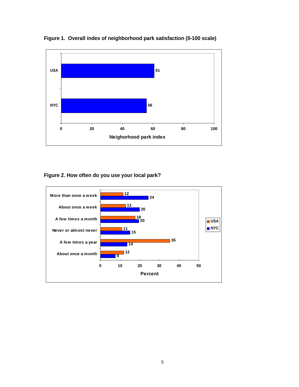

**Figure 1. Overall index of neighborhood park satisfaction (0-100 scale)**

**Figure 2. How often do you use your local park?** 

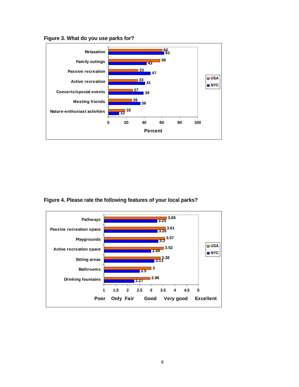**Figure 3. What do you use parks for?** 



**Figure 4. Please rate the following features of your local parks?** 

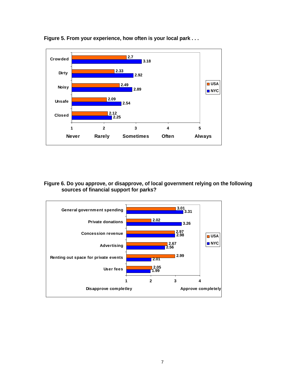

**Figure 5. From your experience, how often is your local park . . .** 

**Figure 6. Do you approve, or disapprove, of local government relying on the following sources of financial support for parks?**

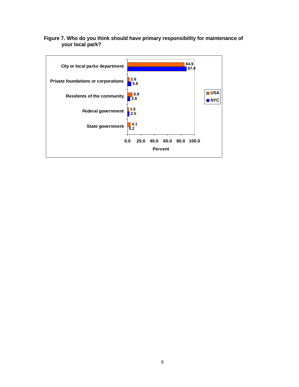# **Figure 7. Who do you think should have primary responsibility for maintenance of your local park?**